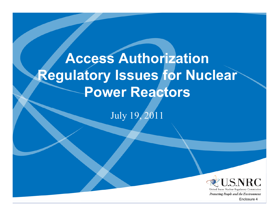# **Access Authorization Regulatory Issues for Nuclear Power Reactors**

July 19, 2011



Protecting People and the Environment

Enclosure 4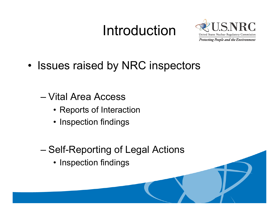## Introduction



- • Issues raised by NRC inspectors
	- Vital Area Access
		- Reports of Interaction
		- Inspection findings
	- Self-Reporting of Legal Actions
		- Inspection findings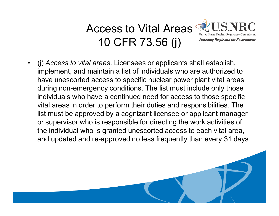#### Access to Vital AreasUnited States Nuclear Regulatory Commission 10 CFR 73.56 (j) **Protecting People and the Environment**

 $\bullet$  (j) *Access to vital areas*. Licensees or applicants shall establish, implement, and maintain a list of individuals who are authorized to have unescorted access to specific nuclear power plant vital areas during non-emergency conditions. The list must include only those individuals who have a continued need for access to those specific vital areas in order to p p erform their duties and res ponsibilities. The list must be approved by a cognizant licensee or applicant manager or supervisor who is responsible for directing the work activities of the individual who is granted unescorted access to each vital area, and updated and re-approved no less frequently than every 31 days.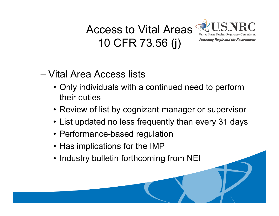## Access to Vital Areas10 CFR 73.56 (j)



### – Vital Area Access lists

- Only individuals with a continued need to perform their duties
- Review of list by cognizant manager or supervisor
- List updated no less frequently than every 31 days
- Performance-based regulation
- Has implications for the IMP
- Industry bulletin forthcoming from NEI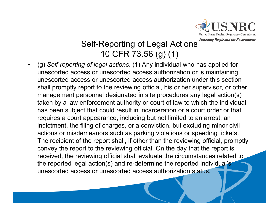

#### Self-Reporting of Legal Actions 10 CFR 73.56 (g) (1)

• (g) *Self-reporting of legal actions*. (1) Any individual who has applied for unescorted access or unescorted access authorization or is maintaining unescorted access or unescorted access authorization under this section shall promptly report to the reviewing official, his or her supervisor, or other management personnel designated in site procedures any legal action(s) taken by a law enforcement authority or court of law to which the individual has been subject that could result in incarceration or a court order or that requires a court appearance, including but not limited to an arrest, an indictment, the filing of charges, or a conviction, but excluding minor civil actions or misdemeanors such as parking violations or speeding tickets. The recipient of the report shall, if other than the reviewing official, promptly convey the report to the reviewing official. On the day that the report is received, the reviewing official shall evaluate the circumstances related to the reported legal action(s) and re-determine the reported individual's unescorted access or unescorted access authorization status.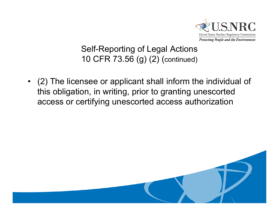

#### Self-Reporting of Legal Actions 10 CFR 73.56 (g) (2) (continued)

• (2) The licensee or applicant shall inform the individual of this obligation, in writing, prior to granting unescorted access or certifying unescorted access authorization

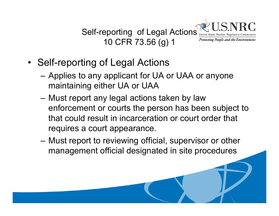

- Self-reporting of Legal Actions
	- Applies to any applicant for UA or UAA or anyone maintaining either UA or UAA
	- Must report any legal actions taken by law enforcement or courts the person has been subject to that could result in incarceration or court order that requires a court appearance.
	- Must report to reviewing official, supervisor or other management official designated in site procedures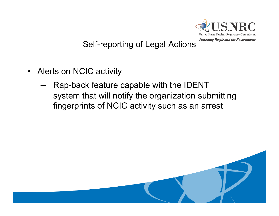

#### Self-reporting of Legal Actions

- Alerts on NCIC activity
	- Rap-back feature capable with the IDENT system that will notify the organization submitting fingerprints of NCIC activity such as an arrest